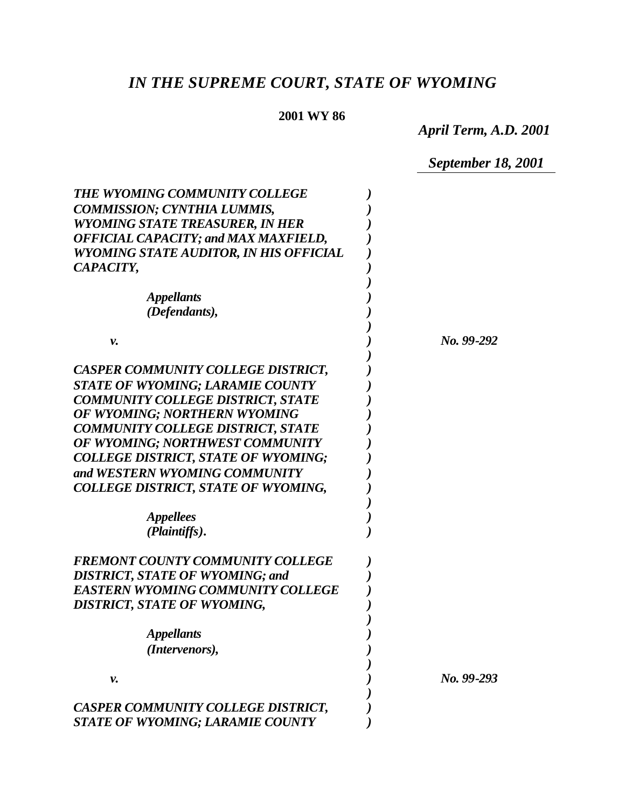# *IN THE SUPREME COURT, STATE OF WYOMING*

# **2001 WY 86**

*April Term, A.D. 2001*

*September 18, 2001*

| <b>THE WYOMING COMMUNITY COLLEGE</b>        |              |
|---------------------------------------------|--------------|
| <b>COMMISSION; CYNTHIA LUMMIS,</b>          |              |
| <b>WYOMING STATE TREASURER, IN HER</b>      |              |
| <b>OFFICIAL CAPACITY; and MAX MAXFIELD,</b> |              |
| WYOMING STATE AUDITOR, IN HIS OFFICIAL      |              |
| CAPACITY,                                   |              |
|                                             |              |
| <b>Appellants</b>                           |              |
| (Defendants),                               |              |
|                                             |              |
| ν.                                          | No. 99-292   |
|                                             |              |
| CASPER COMMUNITY COLLEGE DISTRICT,          |              |
| <b>STATE OF WYOMING; LARAMIE COUNTY</b>     |              |
| <b>COMMUNITY COLLEGE DISTRICT, STATE</b>    |              |
| OF WYOMING; NORTHERN WYOMING                |              |
| <b>COMMUNITY COLLEGE DISTRICT, STATE</b>    |              |
| OF WYOMING; NORTHWEST COMMUNITY             |              |
| <b>COLLEGE DISTRICT, STATE OF WYOMING;</b>  |              |
| and WESTERN WYOMING COMMUNITY               |              |
| <b>COLLEGE DISTRICT, STATE OF WYOMING,</b>  |              |
|                                             |              |
| <b>Appellees</b>                            |              |
| (Plaintiffs).                               |              |
| <b>FREMONT COUNTY COMMUNITY COLLEGE</b>     |              |
| <b>DISTRICT, STATE OF WYOMING; and</b>      |              |
| <b>EASTERN WYOMING COMMUNITY COLLEGE</b>    |              |
| <b>DISTRICT, STATE OF WYOMING,</b>          |              |
|                                             |              |
| <b>Appellants</b>                           |              |
| (Intervenors),                              |              |
|                                             |              |
| ν.                                          | $No. 99-293$ |
|                                             |              |
| CASPER COMMUNITY COLLEGE DISTRICT,          |              |
| <b>STATE OF WYOMING; LARAMIE COUNTY</b>     |              |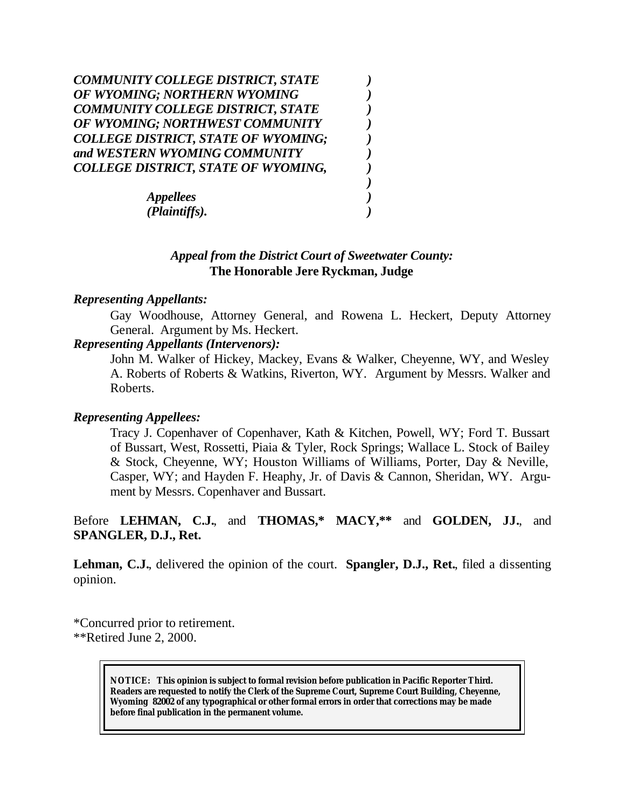| COMMUNITY COLLEGE DISTRICT, STATE          |  |
|--------------------------------------------|--|
| OF WYOMING; NORTHERN WYOMING               |  |
| <b>COMMUNITY COLLEGE DISTRICT, STATE</b>   |  |
| OF WYOMING; NORTHWEST COMMUNITY            |  |
| <b>COLLEGE DISTRICT, STATE OF WYOMING;</b> |  |
| and WESTERN WYOMING COMMUNITY              |  |
| COLLEGE DISTRICT, STATE OF WYOMING,        |  |
|                                            |  |
| <b>Appellees</b>                           |  |
| (Plaintiffs).                              |  |

# *Appeal from the District Court of Sweetwater County:* **The Honorable Jere Ryckman, Judge**

#### *Representing Appellants:*

Gay Woodhouse, Attorney General, and Rowena L. Heckert, Deputy Attorney General. Argument by Ms. Heckert.

# *Representing Appellants (Intervenors):*

John M. Walker of Hickey, Mackey, Evans & Walker, Cheyenne, WY, and Wesley A. Roberts of Roberts & Watkins, Riverton, WY. Argument by Messrs. Walker and Roberts.

#### *Representing Appellees:*

Tracy J. Copenhaver of Copenhaver, Kath & Kitchen, Powell, WY; Ford T. Bussart of Bussart, West, Rossetti, Piaia & Tyler, Rock Springs; Wallace L. Stock of Bailey & Stock, Cheyenne, WY; Houston Williams of Williams, Porter, Day & Neville, Casper, WY; and Hayden F. Heaphy, Jr. of Davis & Cannon, Sheridan, WY. Argument by Messrs. Copenhaver and Bussart.

# Before **LEHMAN, C.J.**, and **THOMAS,\* MACY,\*\*** and **GOLDEN, JJ.**, and **SPANGLER, D.J., Ret.**

**Lehman, C.J.**, delivered the opinion of the court. **Spangler, D.J., Ret.**, filed a dissenting opinion.

\*Concurred prior to retirement. \*\*Retired June 2, 2000.

> **NOTICE:** *This opinion is subject to formal revision before publication in Pacific Reporter Third. Readers are requested to notify the Clerk of the Supreme Court, Supreme Court Building, Cheyenne, Wyoming 82002 of any typographical or other formal errors in order that corrections may be made before final publication in the permanent volume.*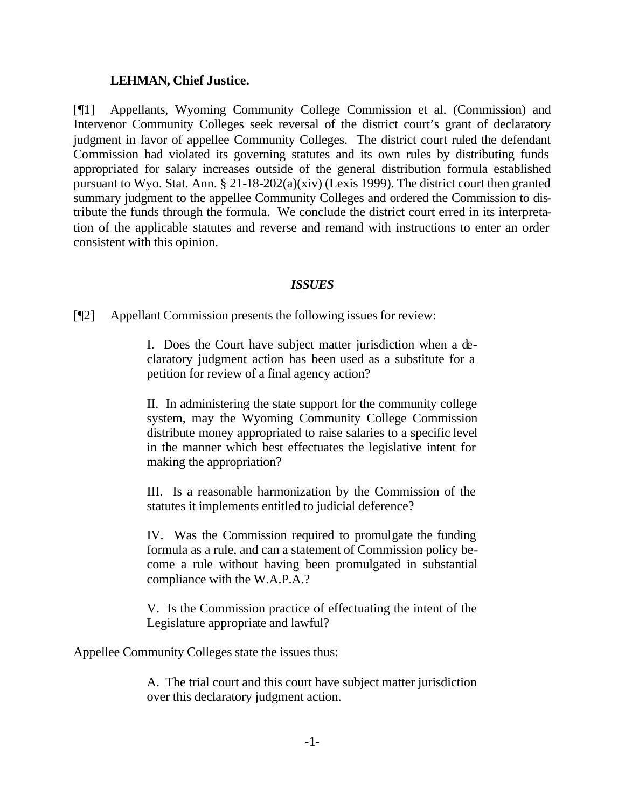#### **LEHMAN, Chief Justice.**

[¶1] Appellants, Wyoming Community College Commission et al. (Commission) and Intervenor Community Colleges seek reversal of the district court's grant of declaratory judgment in favor of appellee Community Colleges. The district court ruled the defendant Commission had violated its governing statutes and its own rules by distributing funds appropriated for salary increases outside of the general distribution formula established pursuant to Wyo. Stat. Ann. § 21-18-202(a)(xiv) (Lexis 1999). The district court then granted summary judgment to the appellee Community Colleges and ordered the Commission to distribute the funds through the formula. We conclude the district court erred in its interpretation of the applicable statutes and reverse and remand with instructions to enter an order consistent with this opinion.

#### *ISSUES*

[¶2] Appellant Commission presents the following issues for review:

I. Does the Court have subject matter jurisdiction when a declaratory judgment action has been used as a substitute for a petition for review of a final agency action?

II. In administering the state support for the community college system, may the Wyoming Community College Commission distribute money appropriated to raise salaries to a specific level in the manner which best effectuates the legislative intent for making the appropriation?

III. Is a reasonable harmonization by the Commission of the statutes it implements entitled to judicial deference?

IV. Was the Commission required to promulgate the funding formula as a rule, and can a statement of Commission policy become a rule without having been promulgated in substantial compliance with the W.A.P.A.?

V. Is the Commission practice of effectuating the intent of the Legislature appropriate and lawful?

Appellee Community Colleges state the issues thus:

A. The trial court and this court have subject matter jurisdiction over this declaratory judgment action.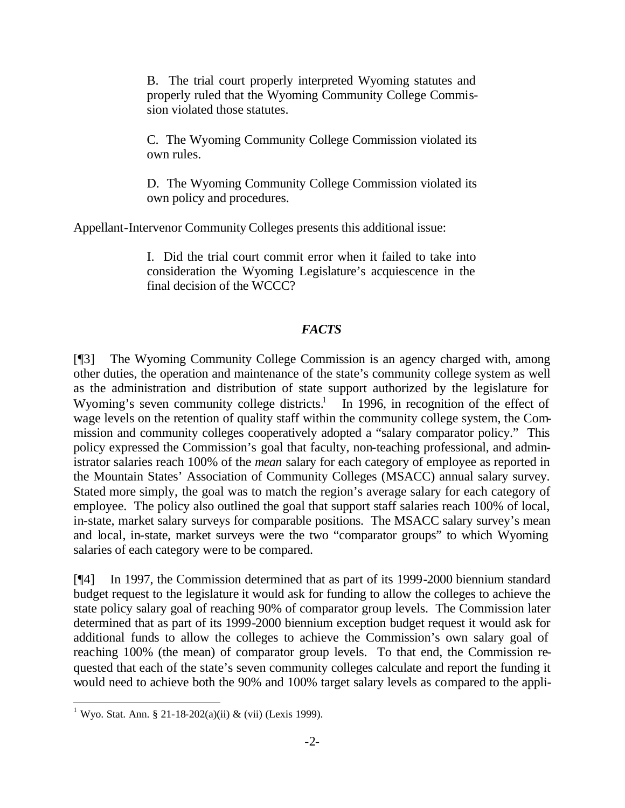B. The trial court properly interpreted Wyoming statutes and properly ruled that the Wyoming Community College Commission violated those statutes.

C. The Wyoming Community College Commission violated its own rules.

D. The Wyoming Community College Commission violated its own policy and procedures.

Appellant-Intervenor Community Colleges presents this additional issue:

I. Did the trial court commit error when it failed to take into consideration the Wyoming Legislature's acquiescence in the final decision of the WCCC?

#### *FACTS*

[¶3] The Wyoming Community College Commission is an agency charged with, among other duties, the operation and maintenance of the state's community college system as well as the administration and distribution of state support authorized by the legislature for Wyoming's seven community college districts.<sup>1</sup> In 1996, in recognition of the effect of wage levels on the retention of quality staff within the community college system, the Commission and community colleges cooperatively adopted a "salary comparator policy." This policy expressed the Commission's goal that faculty, non-teaching professional, and administrator salaries reach 100% of the *mean* salary for each category of employee as reported in the Mountain States' Association of Community Colleges (MSACC) annual salary survey. Stated more simply, the goal was to match the region's average salary for each category of employee. The policy also outlined the goal that support staff salaries reach 100% of local, in-state, market salary surveys for comparable positions. The MSACC salary survey's mean and local, in-state, market surveys were the two "comparator groups" to which Wyoming salaries of each category were to be compared.

[¶4] In 1997, the Commission determined that as part of its 1999-2000 biennium standard budget request to the legislature it would ask for funding to allow the colleges to achieve the state policy salary goal of reaching 90% of comparator group levels. The Commission later determined that as part of its 1999-2000 biennium exception budget request it would ask for additional funds to allow the colleges to achieve the Commission's own salary goal of reaching 100% (the mean) of comparator group levels. To that end, the Commission requested that each of the state's seven community colleges calculate and report the funding it would need to achieve both the 90% and 100% target salary levels as compared to the appli-

<sup>&</sup>lt;sup>1</sup> Wyo. Stat. Ann. § 21-18-202(a)(ii) & (vii) (Lexis 1999).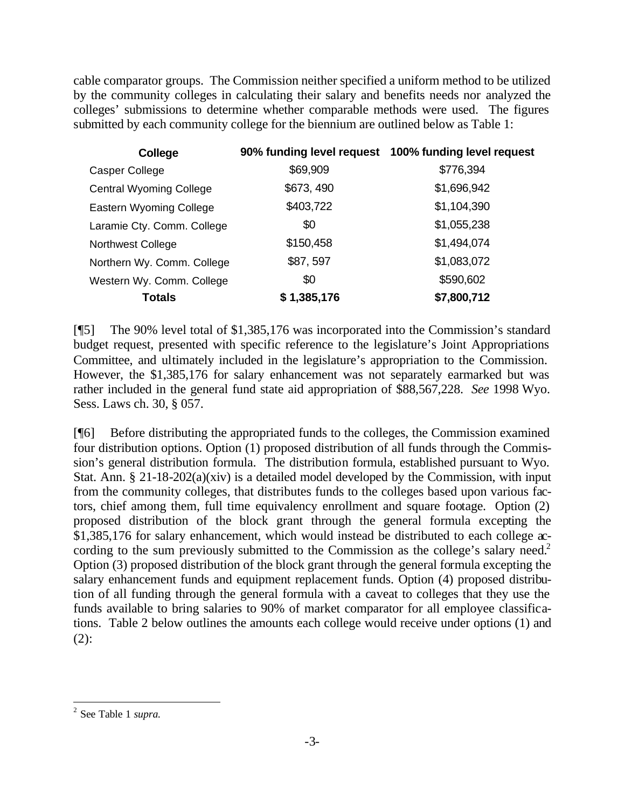cable comparator groups. The Commission neither specified a uniform method to be utilized by the community colleges in calculating their salary and benefits needs nor analyzed the colleges' submissions to determine whether comparable methods were used. The figures submitted by each community college for the biennium are outlined below as Table 1:

| College                        |             | 90% funding level request 100% funding level request |
|--------------------------------|-------------|------------------------------------------------------|
| Casper College                 | \$69,909    | \$776,394                                            |
| <b>Central Wyoming College</b> | \$673, 490  | \$1,696,942                                          |
| Eastern Wyoming College        | \$403,722   | \$1,104,390                                          |
| Laramie Cty. Comm. College     | \$0         | \$1,055,238                                          |
| <b>Northwest College</b>       | \$150,458   | \$1,494,074                                          |
| Northern Wy. Comm. College     | \$87,597    | \$1,083,072                                          |
| Western Wy. Comm. College      | \$0         | \$590,602                                            |
| <b>Totals</b>                  | \$1,385,176 | \$7,800,712                                          |

[¶5] The 90% level total of \$1,385,176 was incorporated into the Commission's standard budget request, presented with specific reference to the legislature's Joint Appropriations Committee, and ultimately included in the legislature's appropriation to the Commission. However, the \$1,385,176 for salary enhancement was not separately earmarked but was rather included in the general fund state aid appropriation of \$88,567,228. *See* 1998 Wyo. Sess. Laws ch. 30, § 057.

[¶6] Before distributing the appropriated funds to the colleges, the Commission examined four distribution options. Option (1) proposed distribution of all funds through the Commission's general distribution formula. The distribution formula, established pursuant to Wyo. Stat. Ann. § 21-18-202(a)(xiv) is a detailed model developed by the Commission, with input from the community colleges, that distributes funds to the colleges based upon various factors, chief among them, full time equivalency enrollment and square footage. Option (2) proposed distribution of the block grant through the general formula excepting the \$1,385,176 for salary enhancement, which would instead be distributed to each college  $\alpha$ cording to the sum previously submitted to the Commission as the college's salary need.<sup>2</sup> Option (3) proposed distribution of the block grant through the general formula excepting the salary enhancement funds and equipment replacement funds. Option (4) proposed distribution of all funding through the general formula with a caveat to colleges that they use the funds available to bring salaries to 90% of market comparator for all employee classifications. Table 2 below outlines the amounts each college would receive under options (1) and  $(2)$ :

<sup>2</sup> See Table 1 *supra.*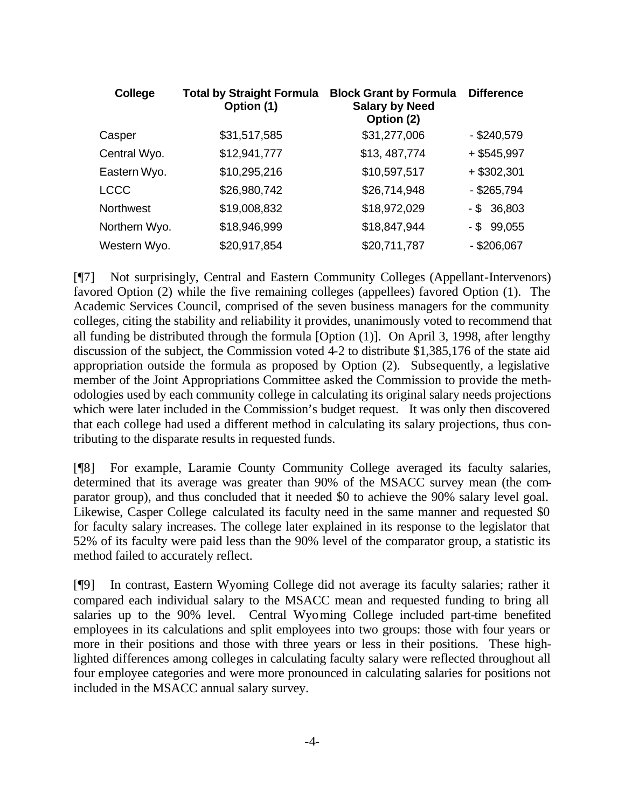| College          | <b>Total by Straight Formula</b><br>Option (1) | <b>Block Grant by Formula</b><br><b>Salary by Need</b><br>Option (2) | <b>Difference</b> |
|------------------|------------------------------------------------|----------------------------------------------------------------------|-------------------|
| Casper           | \$31,517,585                                   | \$31,277,006                                                         | $-$ \$240,579     |
| Central Wyo.     | \$12,941,777                                   | \$13, 487, 774                                                       | $+$ \$545,997     |
| Eastern Wyo.     | \$10,295,216                                   | \$10,597,517                                                         | $+$ \$302,301     |
| <b>LCCC</b>      | \$26,980,742                                   | \$26,714,948                                                         | $-$ \$265,794     |
| <b>Northwest</b> | \$19,008,832                                   | \$18,972,029                                                         | $-$ \$ 36,803     |
| Northern Wyo.    | \$18,946,999                                   | \$18,847,944                                                         | $-$ \$ 99,055     |
| Western Wyo.     | \$20,917,854                                   | \$20,711,787                                                         | $-$ \$206,067     |

[¶7] Not surprisingly, Central and Eastern Community Colleges (Appellant-Intervenors) favored Option (2) while the five remaining colleges (appellees) favored Option (1). The Academic Services Council, comprised of the seven business managers for the community colleges, citing the stability and reliability it provides, unanimously voted to recommend that all funding be distributed through the formula [Option (1)]. On April 3, 1998, after lengthy discussion of the subject, the Commission voted  $4-2$  to distribute \$1,385,176 of the state aid appropriation outside the formula as proposed by Option (2). Subsequently, a legislative member of the Joint Appropriations Committee asked the Commission to provide the methodologies used by each community college in calculating its original salary needs projections which were later included in the Commission's budget request. It was only then discovered that each college had used a different method in calculating its salary projections, thus contributing to the disparate results in requested funds.

[¶8] For example, Laramie County Community College averaged its faculty salaries, determined that its average was greater than 90% of the MSACC survey mean (the comparator group), and thus concluded that it needed \$0 to achieve the 90% salary level goal. Likewise, Casper College calculated its faculty need in the same manner and requested \$0 for faculty salary increases. The college later explained in its response to the legislator that 52% of its faculty were paid less than the 90% level of the comparator group, a statistic its method failed to accurately reflect.

[¶9] In contrast, Eastern Wyoming College did not average its faculty salaries; rather it compared each individual salary to the MSACC mean and requested funding to bring all salaries up to the 90% level. Central Wyoming College included part-time benefited employees in its calculations and split employees into two groups: those with four years or more in their positions and those with three years or less in their positions. These highlighted differences among colleges in calculating faculty salary were reflected throughout all four employee categories and were more pronounced in calculating salaries for positions not included in the MSACC annual salary survey.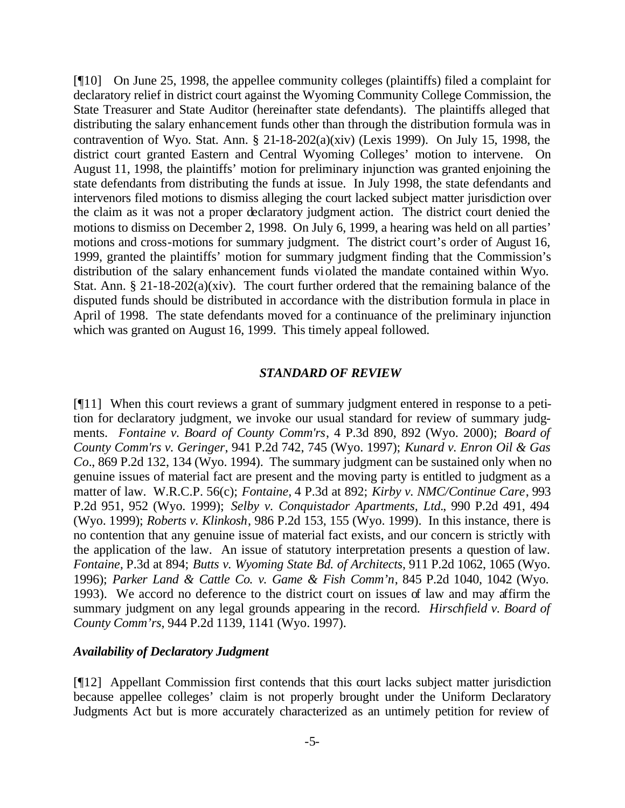[¶10] On June 25, 1998, the appellee community colleges (plaintiffs) filed a complaint for declaratory relief in district court against the Wyoming Community College Commission, the State Treasurer and State Auditor (hereinafter state defendants). The plaintiffs alleged that distributing the salary enhancement funds other than through the distribution formula was in contravention of Wyo. Stat. Ann.  $\S$  21-18-202(a)(xiv) (Lexis 1999). On July 15, 1998, the district court granted Eastern and Central Wyoming Colleges' motion to intervene. On August 11, 1998, the plaintiffs' motion for preliminary injunction was granted enjoining the state defendants from distributing the funds at issue. In July 1998, the state defendants and intervenors filed motions to dismiss alleging the court lacked subject matter jurisdiction over the claim as it was not a proper declaratory judgment action. The district court denied the motions to dismiss on December 2, 1998. On July 6, 1999, a hearing was held on all parties' motions and cross-motions for summary judgment. The district court's order of August 16, 1999, granted the plaintiffs' motion for summary judgment finding that the Commission's distribution of the salary enhancement funds violated the mandate contained within Wyo. Stat. Ann. § 21-18-202(a)(xiv). The court further ordered that the remaining balance of the disputed funds should be distributed in accordance with the distribution formula in place in April of 1998. The state defendants moved for a continuance of the preliminary injunction which was granted on August 16, 1999. This timely appeal followed.

#### *STANDARD OF REVIEW*

[¶11] When this court reviews a grant of summary judgment entered in response to a petition for declaratory judgment, we invoke our usual standard for review of summary judgments. *Fontaine v. Board of County Comm'rs*, 4 P.3d 890, 892 (Wyo. 2000); *Board of County Comm'rs v. Geringer*, 941 P.2d 742, 745 (Wyo. 1997); *Kunard v. Enron Oil & Gas Co.*, 869 P.2d 132, 134 (Wyo. 1994). The summary judgment can be sustained only when no genuine issues of material fact are present and the moving party is entitled to judgment as a matter of law. W.R.C.P. 56(c); *Fontaine,* 4 P.3d at 892; *Kirby v. NMC/Continue Care*, 993 P.2d 951, 952 (Wyo. 1999); *Selby v. Conquistador Apartments, Ltd.*, 990 P.2d 491, 494 (Wyo. 1999); *Roberts v. Klinkosh*, 986 P.2d 153, 155 (Wyo. 1999). In this instance, there is no contention that any genuine issue of material fact exists, and our concern is strictly with the application of the law. An issue of statutory interpretation presents a question of law. *Fontaine,* P.3d at 894; *Butts v. Wyoming State Bd. of Architects*, 911 P.2d 1062, 1065 (Wyo. 1996); *Parker Land & Cattle Co. v. Game & Fish Comm'n*, 845 P.2d 1040, 1042 (Wyo. 1993). We accord no deference to the district court on issues of law and may affirm the summary judgment on any legal grounds appearing in the record. *Hirschfield v. Board of County Comm'rs,* 944 P.2d 1139, 1141 (Wyo. 1997).

#### *Availability of Declaratory Judgment*

[¶12] Appellant Commission first contends that this court lacks subject matter jurisdiction because appellee colleges' claim is not properly brought under the Uniform Declaratory Judgments Act but is more accurately characterized as an untimely petition for review of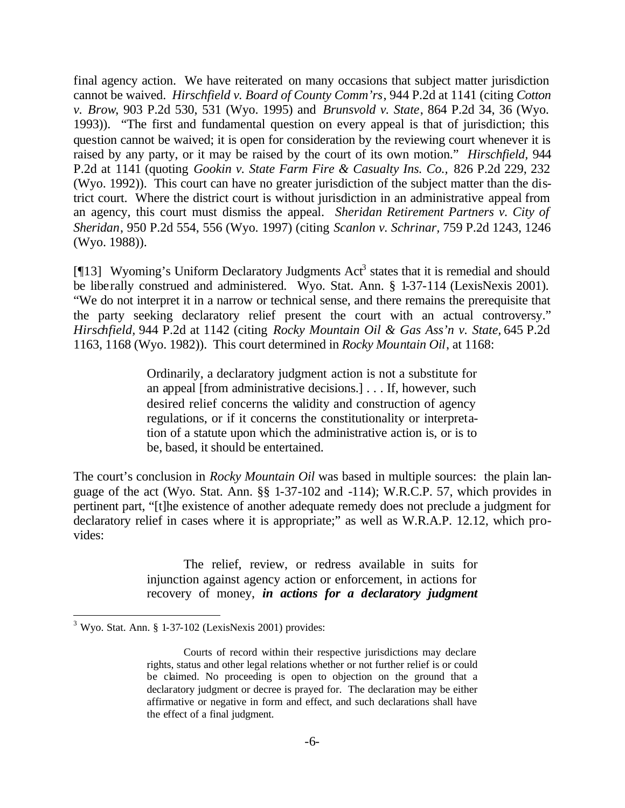final agency action. We have reiterated on many occasions that subject matter jurisdiction cannot be waived. *Hirschfield v. Board of County Comm'rs*, 944 P.2d at 1141 (citing *Cotton v. Brow*, 903 P.2d 530, 531 (Wyo. 1995) and *Brunsvold v. State*, 864 P.2d 34, 36 (Wyo. 1993)). "The first and fundamental question on every appeal is that of jurisdiction; this question cannot be waived; it is open for consideration by the reviewing court whenever it is raised by any party, or it may be raised by the court of its own motion." *Hirschfield,* 944 P.2d at 1141 (quoting *Gookin v. State Farm Fire & Casualty Ins. Co.,* 826 P.2d 229, 232 (Wyo. 1992)). This court can have no greater jurisdiction of the subject matter than the district court. Where the district court is without jurisdiction in an administrative appeal from an agency, this court must dismiss the appeal. *Sheridan Retirement Partners v. City of Sheridan*, 950 P.2d 554, 556 (Wyo. 1997) (citing *Scanlon v. Schrinar,* 759 P.2d 1243, 1246 (Wyo. 1988)).

[ $[13]$  Wyoming's Uniform Declaratory Judgments Act<sup>3</sup> states that it is remedial and should be liberally construed and administered. Wyo. Stat. Ann. § 1-37-114 (LexisNexis 2001). "We do not interpret it in a narrow or technical sense, and there remains the prerequisite that the party seeking declaratory relief present the court with an actual controversy." *Hirschfield,* 944 P.2d at 1142 (citing *Rocky Mountain Oil & Gas Ass'n v. State,* 645 P.2d 1163, 1168 (Wyo. 1982)). This court determined in *Rocky Mountain Oil*, at 1168:

> Ordinarily, a declaratory judgment action is not a substitute for an appeal [from administrative decisions.] . . . If, however, such desired relief concerns the validity and construction of agency regulations, or if it concerns the constitutionality or interpretation of a statute upon which the administrative action is, or is to be, based, it should be entertained.

The court's conclusion in *Rocky Mountain Oil* was based in multiple sources: the plain language of the act (Wyo. Stat. Ann. §§ 1-37-102 and -114); W.R.C.P. 57, which provides in pertinent part, "[t]he existence of another adequate remedy does not preclude a judgment for declaratory relief in cases where it is appropriate;" as well as W.R.A.P. 12.12, which provides:

> The relief, review, or redress available in suits for injunction against agency action or enforcement, in actions for recovery of money, *in actions for a declaratory judgment*

 $3$  Wyo. Stat. Ann. § 1-37-102 (LexisNexis 2001) provides:

Courts of record within their respective jurisdictions may declare rights, status and other legal relations whether or not further relief is or could be claimed. No proceeding is open to objection on the ground that a declaratory judgment or decree is prayed for. The declaration may be either affirmative or negative in form and effect, and such declarations shall have the effect of a final judgment.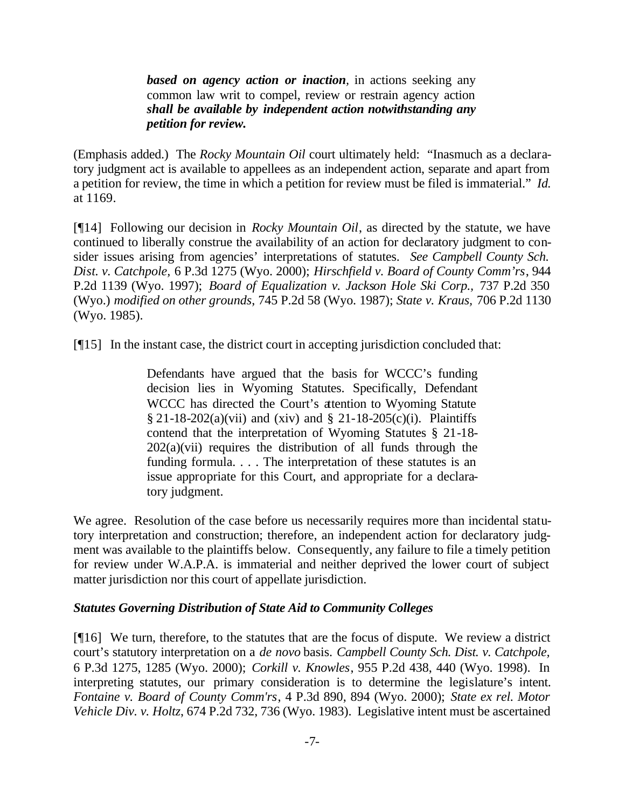*based on agency action or inaction,* in actions seeking any common law writ to compel, review or restrain agency action *shall be available by independent action notwithstanding any petition for review.*

(Emphasis added.) The *Rocky Mountain Oil* court ultimately held: "Inasmuch as a declaratory judgment act is available to appellees as an independent action, separate and apart from a petition for review, the time in which a petition for review must be filed is immaterial." *Id.*  at 1169.

[¶14] Following our decision in *Rocky Mountain Oil*, as directed by the statute, we have continued to liberally construe the availability of an action for declaratory judgment to consider issues arising from agencies' interpretations of statutes. *See Campbell County Sch. Dist. v. Catchpole,* 6 P.3d 1275 (Wyo. 2000); *Hirschfield v. Board of County Comm'rs*, 944 P.2d 1139 (Wyo. 1997); *Board of Equalization v. Jackson Hole Ski Corp.,* 737 P.2d 350 (Wyo.) *modified on other grounds*, 745 P.2d 58 (Wyo. 1987); *State v. Kraus,* 706 P.2d 1130 (Wyo. 1985).

[¶15] In the instant case, the district court in accepting jurisdiction concluded that:

Defendants have argued that the basis for WCCC's funding decision lies in Wyoming Statutes. Specifically, Defendant WCCC has directed the Court's attention to Wyoming Statute § 21-18-202(a)(vii) and (xiv) and § 21-18-205(c)(i). Plaintiffs contend that the interpretation of Wyoming Statutes § 21-18-  $202(a)(vii)$  requires the distribution of all funds through the funding formula. . . . The interpretation of these statutes is an issue appropriate for this Court, and appropriate for a declaratory judgment.

We agree. Resolution of the case before us necessarily requires more than incidental statutory interpretation and construction; therefore, an independent action for declaratory judgment was available to the plaintiffs below. Consequently, any failure to file a timely petition for review under W.A.P.A. is immaterial and neither deprived the lower court of subject matter jurisdiction nor this court of appellate jurisdiction.

#### *Statutes Governing Distribution of State Aid to Community Colleges*

[¶16] We turn, therefore, to the statutes that are the focus of dispute. We review a district court's statutory interpretation on a *de novo* basis. *Campbell County Sch. Dist. v. Catchpole,*  6 P.3d 1275, 1285 (Wyo. 2000); *Corkill v. Knowles*, 955 P.2d 438, 440 (Wyo. 1998). In interpreting statutes, our primary consideration is to determine the legislature's intent. *Fontaine v. Board of County Comm'rs*, 4 P.3d 890, 894 (Wyo. 2000); *State ex rel. Motor Vehicle Div. v. Holtz*, 674 P.2d 732, 736 (Wyo. 1983). Legislative intent must be ascertained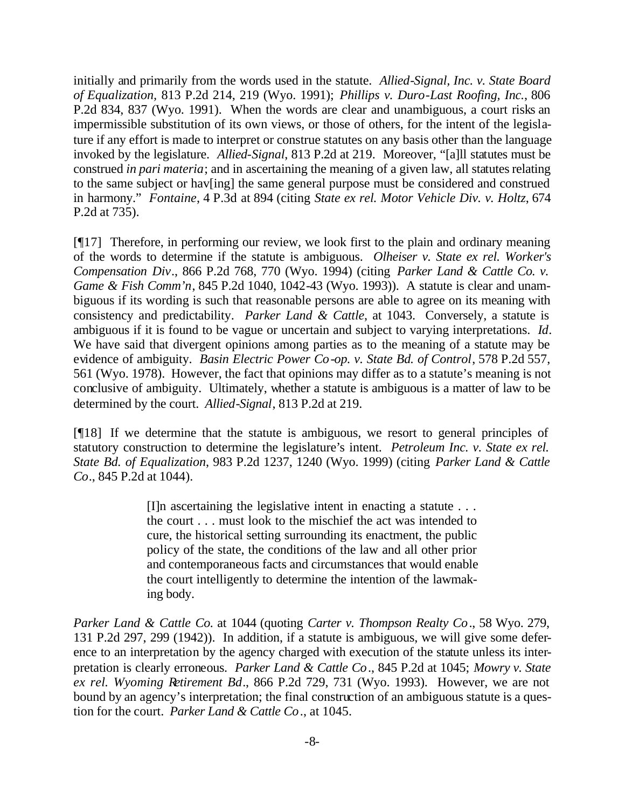initially and primarily from the words used in the statute. *Allied-Signal, Inc. v. State Board of Equalization,* 813 P.2d 214, 219 (Wyo. 1991); *Phillips v. Duro-Last Roofing, Inc.*, 806 P.2d 834, 837 (Wyo. 1991). When the words are clear and unambiguous, a court risks an impermissible substitution of its own views, or those of others, for the intent of the legislature if any effort is made to interpret or construe statutes on any basis other than the language invoked by the legislature. *Allied-Signal*, 813 P.2d at 219. Moreover, "[a]ll statutes must be construed *in pari materia*; and in ascertaining the meaning of a given law, all statutes relating to the same subject or hav[ing] the same general purpose must be considered and construed in harmony." *Fontaine*, 4 P.3d at 894 (citing *State ex rel. Motor Vehicle Div. v. Holtz*, 674 P.2d at 735).

[¶17] Therefore, in performing our review, we look first to the plain and ordinary meaning of the words to determine if the statute is ambiguous. *Olheiser v. State ex rel. Worker's Compensation Div*., 866 P.2d 768, 770 (Wyo. 1994) (citing *Parker Land & Cattle Co. v. Game & Fish Comm'n*, 845 P.2d 1040, 1042-43 (Wyo. 1993)). A statute is clear and unambiguous if its wording is such that reasonable persons are able to agree on its meaning with consistency and predictability. *Parker Land & Cattle*, at 1043. Conversely, a statute is ambiguous if it is found to be vague or uncertain and subject to varying interpretations. *Id*. We have said that divergent opinions among parties as to the meaning of a statute may be evidence of ambiguity. *Basin Electric Power Co-op. v. State Bd. of Control*, 578 P.2d 557, 561 (Wyo. 1978). However, the fact that opinions may differ as to a statute's meaning is not conclusive of ambiguity. Ultimately, whether a statute is ambiguous is a matter of law to be determined by the court. *Allied-Signal*, 813 P.2d at 219.

[¶18] If we determine that the statute is ambiguous, we resort to general principles of statutory construction to determine the legislature's intent. *Petroleum Inc. v. State ex rel. State Bd. of Equalization*, 983 P.2d 1237, 1240 (Wyo. 1999) (citing *Parker Land & Cattle Co*., 845 P.2d at 1044).

> $[II]$ n ascertaining the legislative intent in enacting a statute  $\ldots$ the court . . . must look to the mischief the act was intended to cure, the historical setting surrounding its enactment, the public policy of the state, the conditions of the law and all other prior and contemporaneous facts and circumstances that would enable the court intelligently to determine the intention of the lawmaking body.

*Parker Land & Cattle Co.* at 1044 (quoting *Carter v. Thompson Realty Co*., 58 Wyo. 279, 131 P.2d 297, 299 (1942)). In addition, if a statute is ambiguous, we will give some deference to an interpretation by the agency charged with execution of the statute unless its interpretation is clearly erroneous. *Parker Land & Cattle Co*., 845 P.2d at 1045; *Mowry v. State ex rel. Wyoming Retirement Bd*., 866 P.2d 729, 731 (Wyo. 1993). However, we are not bound by an agency's interpretation; the final construction of an ambiguous statute is a question for the court. *Parker Land & Cattle Co*., at 1045.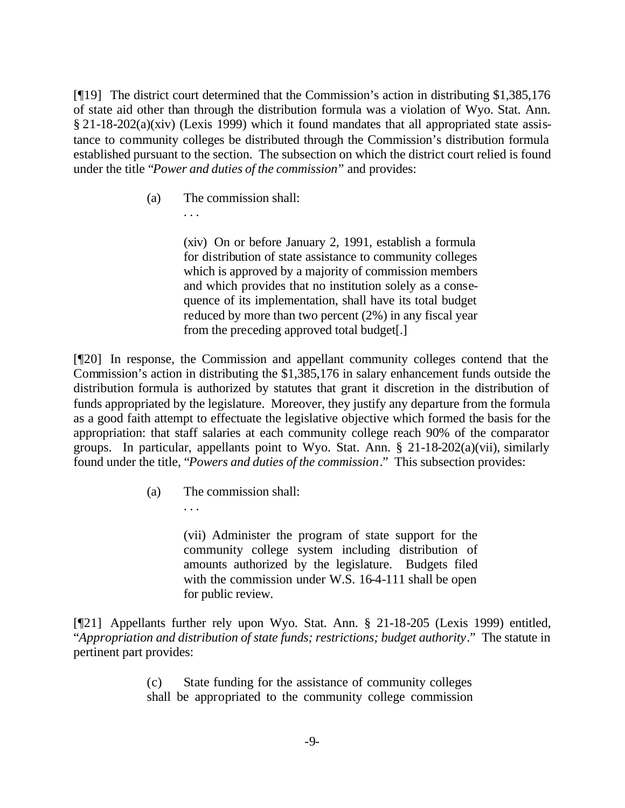[¶19] The district court determined that the Commission's action in distributing \$1,385,176 of state aid other than through the distribution formula was a violation of Wyo. Stat. Ann. § 21-18-202(a)(xiv) (Lexis 1999) which it found mandates that all appropriated state assistance to community colleges be distributed through the Commission's distribution formula established pursuant to the section. The subsection on which the district court relied is found under the title "*Power and duties of the commission*" and provides:

(a) The commission shall:

. . .

(xiv) On or before January 2, 1991, establish a formula for distribution of state assistance to community colleges which is approved by a majority of commission members and which provides that no institution solely as a consequence of its implementation, shall have its total budget reduced by more than two percent (2%) in any fiscal year from the preceding approved total budget[.]

[¶20] In response, the Commission and appellant community colleges contend that the Commission's action in distributing the \$1,385,176 in salary enhancement funds outside the distribution formula is authorized by statutes that grant it discretion in the distribution of funds appropriated by the legislature. Moreover, they justify any departure from the formula as a good faith attempt to effectuate the legislative objective which formed the basis for the appropriation: that staff salaries at each community college reach 90% of the comparator groups. In particular, appellants point to Wyo. Stat. Ann. § 21-18-202(a)(vii), similarly found under the title, "*Powers and duties of the commission*." This subsection provides:

(a) The commission shall:

. . .

(vii) Administer the program of state support for the community college system including distribution of amounts authorized by the legislature. Budgets filed with the commission under W.S. 16-4-111 shall be open for public review.

[¶21] Appellants further rely upon Wyo. Stat. Ann. § 21-18-205 (Lexis 1999) entitled, "*Appropriation and distribution of state funds; restrictions; budget authority*." The statute in pertinent part provides:

> (c) State funding for the assistance of community colleges shall be appropriated to the community college commission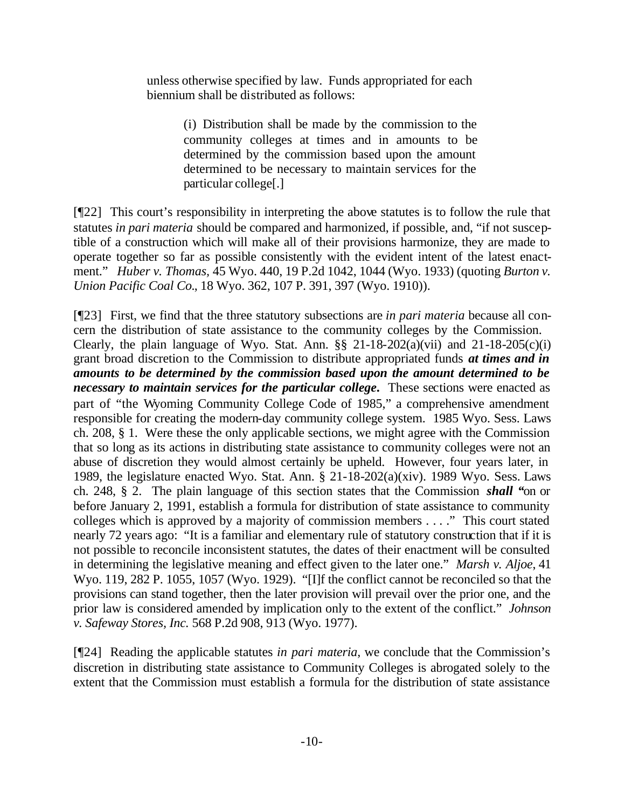unless otherwise specified by law. Funds appropriated for each biennium shall be distributed as follows:

> (i) Distribution shall be made by the commission to the community colleges at times and in amounts to be determined by the commission based upon the amount determined to be necessary to maintain services for the particular college[.]

[¶22] This court's responsibility in interpreting the above statutes is to follow the rule that statutes *in pari materia* should be compared and harmonized, if possible, and, "if not susceptible of a construction which will make all of their provisions harmonize, they are made to operate together so far as possible consistently with the evident intent of the latest enactment." *Huber v. Thomas,* 45 Wyo. 440, 19 P.2d 1042, 1044 (Wyo. 1933) (quoting *Burton v. Union Pacific Coal Co.*, 18 Wyo. 362, 107 P. 391, 397 (Wyo. 1910)).

[¶23] First, we find that the three statutory subsections are *in pari materia* because all concern the distribution of state assistance to the community colleges by the Commission. Clearly, the plain language of Wyo. Stat. Ann.  $\S$ § 21-18-202(a)(vii) and 21-18-205(c)(i) grant broad discretion to the Commission to distribute appropriated funds *at times and in amounts to be determined by the commission based upon the amount determined to be necessary to maintain services for the particular college***.** These sections were enacted as part of "the Wyoming Community College Code of 1985," a comprehensive amendment responsible for creating the modern-day community college system. 1985 Wyo. Sess. Laws ch. 208, § 1. Were these the only applicable sections, we might agree with the Commission that so long as its actions in distributing state assistance to community colleges were not an abuse of discretion they would almost certainly be upheld. However, four years later, in 1989, the legislature enacted Wyo. Stat. Ann. § 21-18-202(a)(xiv). 1989 Wyo. Sess. Laws ch. 248, § 2. The plain language of this section states that the Commission *shall "*on or before January 2, 1991, establish a formula for distribution of state assistance to community colleges which is approved by a majority of commission members . . . ." This court stated nearly 72 years ago: "It is a familiar and elementary rule of statutory construction that if it is not possible to reconcile inconsistent statutes, the dates of their enactment will be consulted in determining the legislative meaning and effect given to the later one." *Marsh v. Aljoe*, 41 Wyo. 119, 282 P. 1055, 1057 (Wyo. 1929). "[I]f the conflict cannot be reconciled so that the provisions can stand together, then the later provision will prevail over the prior one, and the prior law is considered amended by implication only to the extent of the conflict." *Johnson v. Safeway Stores, Inc.* 568 P.2d 908, 913 (Wyo. 1977).

[¶24] Reading the applicable statutes *in pari materia*, we conclude that the Commission's discretion in distributing state assistance to Community Colleges is abrogated solely to the extent that the Commission must establish a formula for the distribution of state assistance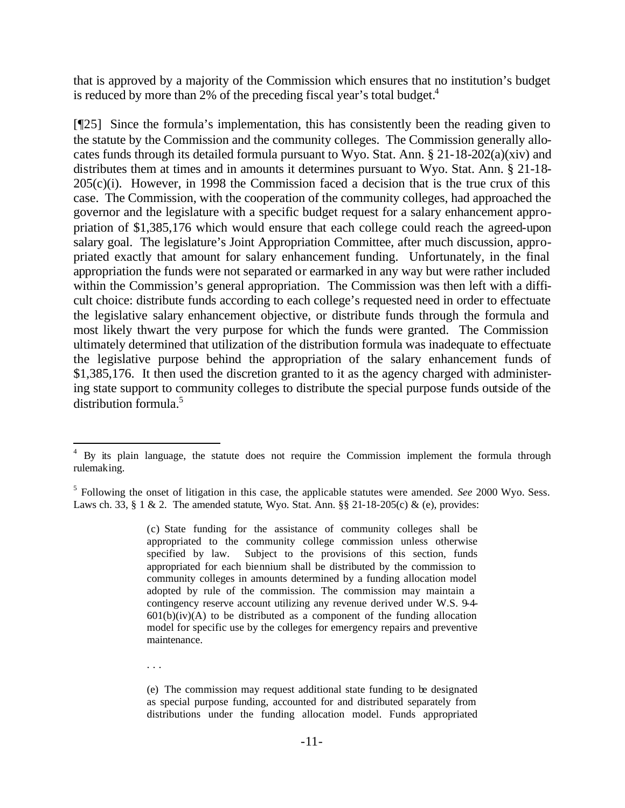that is approved by a majority of the Commission which ensures that no institution's budget is reduced by more than 2% of the preceding fiscal year's total budget. $4$ 

[¶25] Since the formula's implementation, this has consistently been the reading given to the statute by the Commission and the community colleges. The Commission generally allocates funds through its detailed formula pursuant to Wyo. Stat. Ann. § 21-18-202(a)(xiv) and distributes them at times and in amounts it determines pursuant to Wyo. Stat. Ann. § 21-18-  $205(c)(i)$ . However, in 1998 the Commission faced a decision that is the true crux of this case. The Commission, with the cooperation of the community colleges, had approached the governor and the legislature with a specific budget request for a salary enhancement appropriation of \$1,385,176 which would ensure that each college could reach the agreed-upon salary goal. The legislature's Joint Appropriation Committee, after much discussion, appropriated exactly that amount for salary enhancement funding. Unfortunately, in the final appropriation the funds were not separated or earmarked in any way but were rather included within the Commission's general appropriation. The Commission was then left with a difficult choice: distribute funds according to each college's requested need in order to effectuate the legislative salary enhancement objective, or distribute funds through the formula and most likely thwart the very purpose for which the funds were granted. The Commission ultimately determined that utilization of the distribution formula was inadequate to effectuate the legislative purpose behind the appropriation of the salary enhancement funds of \$1,385,176. It then used the discretion granted to it as the agency charged with administering state support to community colleges to distribute the special purpose funds outside of the distribution formula.<sup>5</sup>

(c) State funding for the assistance of community colleges shall be appropriated to the community college commission unless otherwise specified by law. Subject to the provisions of this section, funds appropriated for each biennium shall be distributed by the commission to community colleges in amounts determined by a funding allocation model adopted by rule of the commission. The commission may maintain a contingency reserve account utilizing any revenue derived under W.S. 9-4-  $601(b)(iv)(A)$  to be distributed as a component of the funding allocation model for specific use by the colleges for emergency repairs and preventive maintenance.

. . .

<sup>&</sup>lt;sup>4</sup> By its plain language, the statute does not require the Commission implement the formula through rulemaking.

<sup>5</sup> Following the onset of litigation in this case, the applicable statutes were amended. *See* 2000 Wyo. Sess. Laws ch. 33, § 1 & 2. The amended statute, Wyo. Stat. Ann. §§ 21-18-205(c) & (e), provides:

<sup>(</sup>e) The commission may request additional state funding to be designated as special purpose funding, accounted for and distributed separately from distributions under the funding allocation model. Funds appropriated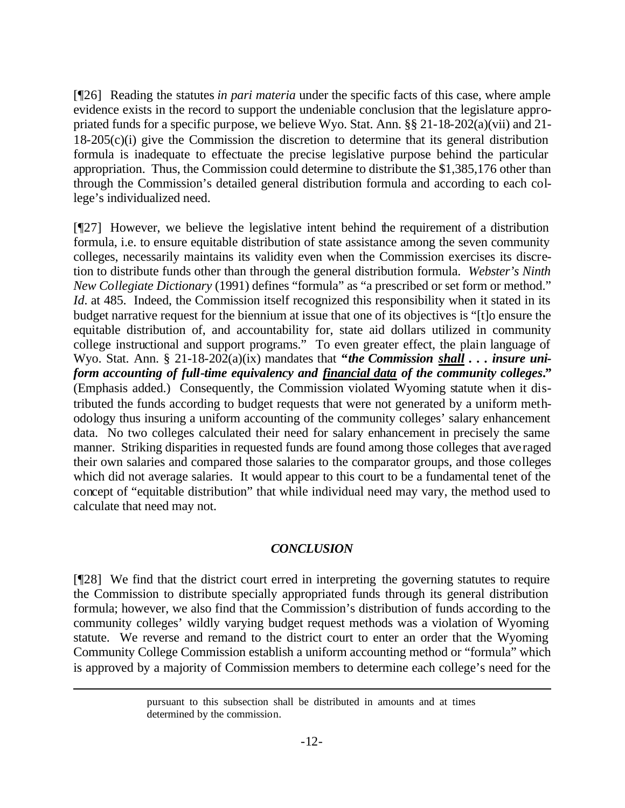[¶26] Reading the statutes *in pari materia* under the specific facts of this case, where ample evidence exists in the record to support the undeniable conclusion that the legislature appropriated funds for a specific purpose, we believe Wyo. Stat. Ann. §§ 21-18-202(a)(vii) and 21- 18-205(c)(i) give the Commission the discretion to determine that its general distribution formula is inadequate to effectuate the precise legislative purpose behind the particular appropriation. Thus, the Commission could determine to distribute the \$1,385,176 other than through the Commission's detailed general distribution formula and according to each college's individualized need.

[¶27] However, we believe the legislative intent behind the requirement of a distribution formula, i.e. to ensure equitable distribution of state assistance among the seven community colleges, necessarily maintains its validity even when the Commission exercises its discretion to distribute funds other than through the general distribution formula. *Webster's Ninth New Collegiate Dictionary* (1991) defines "formula" as "a prescribed or set form or method." *Id.* at 485. Indeed, the Commission itself recognized this responsibility when it stated in its budget narrative request for the biennium at issue that one of its objectives is "[t]o ensure the equitable distribution of, and accountability for, state aid dollars utilized in community college instructional and support programs." To even greater effect, the plain language of Wyo. Stat. Ann. § 21-18-202(a)(ix) mandates that **"***the Commission shall . . . insure uniform accounting of full-time equivalency and financial data of the community colleges***."**  (Emphasis added.) Consequently, the Commission violated Wyoming statute when it distributed the funds according to budget requests that were not generated by a uniform methodology thus insuring a uniform accounting of the community colleges' salary enhancement data. No two colleges calculated their need for salary enhancement in precisely the same manner. Striking disparities in requested funds are found among those colleges that averaged their own salaries and compared those salaries to the comparator groups, and those colleges which did not average salaries. It would appear to this court to be a fundamental tenet of the concept of "equitable distribution" that while individual need may vary, the method used to calculate that need may not.

#### *CONCLUSION*

[¶28] We find that the district court erred in interpreting the governing statutes to require the Commission to distribute specially appropriated funds through its general distribution formula; however, we also find that the Commission's distribution of funds according to the community colleges' wildly varying budget request methods was a violation of Wyoming statute. We reverse and remand to the district court to enter an order that the Wyoming Community College Commission establish a uniform accounting method or "formula" which is approved by a majority of Commission members to determine each college's need for the

pursuant to this subsection shall be distributed in amounts and at times determined by the commission.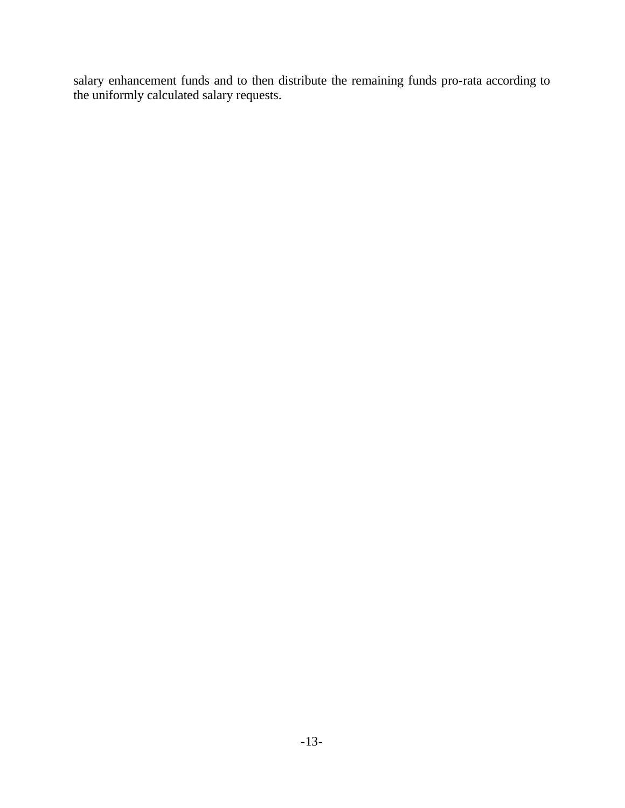salary enhancement funds and to then distribute the remaining funds pro-rata according to the uniformly calculated salary requests.